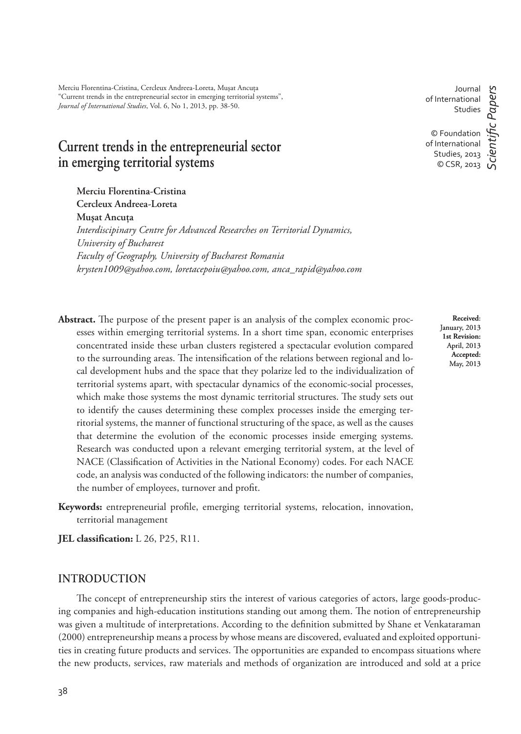Merciu Florentina-Cristina, Cercleux Andreea-Loreta, Musat Ancuta "Current trends in the entrepreneurial sector in emerging territorial systems", *Journal of International Studies*, Vol. 6, No 1, 2013, pp. 38-50.

# **Current trends in the entrepreneurial sector in emerging territorial systems**

**Merciu Florentina-Cristina Cercleux Andreea-Loreta Muşat Ancuţa** *Interdiscipinary Centre for Advanced Researches on Territorial Dynamics, University of Bucharest Faculty of Geography, University of Bucharest Romania krysten1009@yahoo.com, loretacepoiu@yahoo.com, anca\_rapid@yahoo.com*

Abstract. The purpose of the present paper is an analysis of the complex economic processes within emerging territorial systems. In a short time span, economic enterprises concentrated inside these urban clusters registered a spectacular evolution compared to the surrounding areas. The intensification of the relations between regional and local development hubs and the space that they polarize led to the individualization of territorial systems apart, with spectacular dynamics of the economic-social processes, which make those systems the most dynamic territorial structures. The study sets out to identify the causes determining these complex processes inside the emerging territorial systems, the manner of functional structuring of the space, as well as the causes that determine the evolution of the economic processes inside emerging systems. Research was conducted upon a relevant emerging territorial system, at the level of NACE (Classification of Activities in the National Economy) codes. For each NACE code, an analysis was conducted of the following indicators: the number of companies, the number of employees, turnover and profit.

Keywords: entrepreneurial profile, emerging territorial systems, relocation, innovation, territorial management

**JEL classification:** L 26, P25, R11.

# **INTRODUCTION**

The concept of entrepreneurship stirs the interest of various categories of actors, large goods-producing companies and high-education institutions standing out among them. The notion of entrepreneurship was given a multitude of interpretations. According to the definition submitted by Shane et Venkataraman (2000) entrepreneurship means a process by whose means are discovered, evaluated and exploited opportunities in creating future products and services. The opportunities are expanded to encompass situations where the new products, services, raw materials and methods of organization are introduced and sold at a price

Journal of International Studies © Foundation of International Studies, 2013 © CSR, 2013 *ScientiÞ c Papers*

> **Received**: January, 2013 **1st Revision:**  April, 2013 **Accepted:**  May, 2013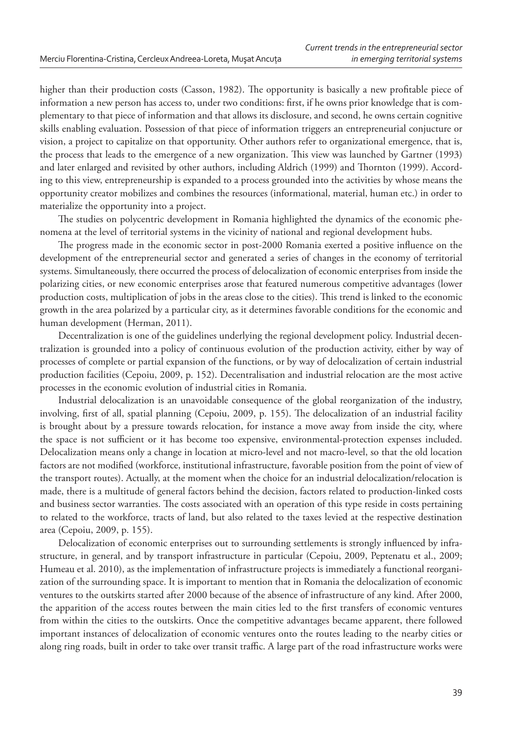higher than their production costs (Casson, 1982). The opportunity is basically a new profitable piece of information a new person has access to, under two conditions: first, if he owns prior knowledge that is complementary to that piece of information and that allows its disclosure, and second, he owns certain cognitive skills enabling evaluation. Possession of that piece of information triggers an entrepreneurial conjucture or vision, a project to capitalize on that opportunity. Other authors refer to organizational emergence, that is, the process that leads to the emergence of a new organization. This view was launched by Gartner (1993) and later enlarged and revisited by other authors, including Aldrich (1999) and Thornton (1999). According to this view, entrepreneurship is expanded to a process grounded into the activities by whose means the opportunity creator mobilizes and combines the resources (informational, material, human etc.) in order to materialize the opportunity into a project.

The studies on polycentric development in Romania highlighted the dynamics of the economic phenomena at the level of territorial systems in the vicinity of national and regional development hubs.

The progress made in the economic sector in post-2000 Romania exerted a positive influence on the development of the entrepreneurial sector and generated a series of changes in the economy of territorial systems. Simultaneously, there occurred the process of delocalization of economic enterprises from inside the polarizing cities, or new economic enterprises arose that featured numerous competitive advantages (lower production costs, multiplication of jobs in the areas close to the cities). \* is trend is linked to the economic growth in the area polarized by a particular city, as it determines favorable conditions for the economic and human development (Herman, 2011).

Decentralization is one of the guidelines underlying the regional development policy. Industrial decentralization is grounded into a policy of continuous evolution of the production activity, either by way of processes of complete or partial expansion of the functions, or by way of delocalization of certain industrial production facilities (Cepoiu, 2009, p. 152). Decentralisation and industrial relocation are the most active processes in the economic evolution of industrial cities in Romania.

Industrial delocalization is an unavoidable consequence of the global reorganization of the industry, involving, first of all, spatial planning (Cepoiu, 2009, p. 155). The delocalization of an industrial facility is brought about by a pressure towards relocation, for instance a move away from inside the city, where the space is not sufficient or it has become too expensive, environmental-protection expenses included. Delocalization means only a change in location at micro-level and not macro-level, so that the old location factors are not modified (workforce, institutional infrastructure, favorable position from the point of view of the transport routes). Actually, at the moment when the choice for an industrial delocalization/relocation is made, there is a multitude of general factors behind the decision, factors related to production-linked costs and business sector warranties. The costs associated with an operation of this type reside in costs pertaining to related to the workforce, tracts of land, but also related to the taxes levied at the respective destination area (Cepoiu, 2009, p. 155).

Delocalization of economic enterprises out to surrounding settlements is strongly influenced by infrastructure, in general, and by transport infrastructure in particular (Cepoiu, 2009, Peptenatu et al., 2009; Humeau et al. 2010), as the implementation of infrastructure projects is immediately a functional reorganization of the surrounding space. It is important to mention that in Romania the delocalization of economic ventures to the outskirts started after 2000 because of the absence of infrastructure of any kind. After 2000, the apparition of the access routes between the main cities led to the first transfers of economic ventures from within the cities to the outskirts. Once the competitive advantages became apparent, there followed important instances of delocalization of economic ventures onto the routes leading to the nearby cities or along ring roads, built in order to take over transit traffic. A large part of the road infrastructure works were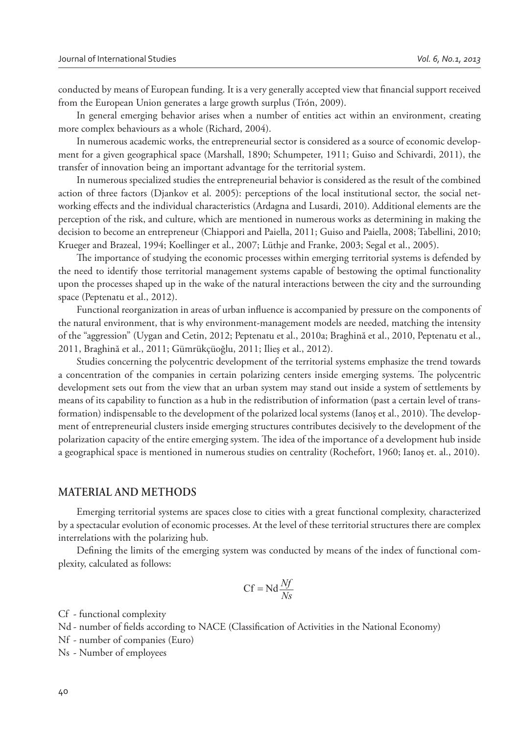conducted by means of European funding. It is a very generally accepted view that financial support received from the European Union generates a large growth surplus (Trón, 2009).

In general emerging behavior arises when a number of entities act within an environment, creating more complex behaviours as a whole (Richard, 2004).

In numerous academic works, the entrepreneurial sector is considered as a source of economic development for a given geographical space (Marshall, 1890; Schumpeter, 1911; Guiso and Schivardi, 2011), the transfer of innovation being an important advantage for the territorial system.

In numerous specialized studies the entrepreneurial behavior is considered as the result of the combined action of three factors (Djankov et al. 2005): perceptions of the local institutional sector, the social networking effects and the individual characteristics (Ardagna and Lusardi, 2010). Additional elements are the perception of the risk, and culture, which are mentioned in numerous works as determining in making the decision to become an entrepreneur (Chiappori and Paiella, 2011; Guiso and Paiella, 2008; Tabellini, 2010; Krueger and Brazeal, 1994; Koellinger et al., 2007; Lüthje and Franke, 2003; Segal et al., 2005).

The importance of studying the economic processes within emerging territorial systems is defended by the need to identify those territorial management systems capable of bestowing the optimal functionality upon the processes shaped up in the wake of the natural interactions between the city and the surrounding space (Peptenatu et al., 2012).

Functional reorganization in areas of urban influence is accompanied by pressure on the components of the natural environment, that is why environment-management models are needed, matching the intensity of the "aggression" (Uygan and Cetin, 2012; Peptenatu et al., 2010a; Braghină et al., 2010, Peptenatu et al., 2011, Braghină et al., 2011; Gümrükçüoğlu, 2011; Ilieş et al., 2012).

Studies concerning the polycentric development of the territorial systems emphasize the trend towards a concentration of the companies in certain polarizing centers inside emerging systems. The polycentric development sets out from the view that an urban system may stand out inside a system of settlements by means of its capability to function as a hub in the redistribution of information (past a certain level of transformation) indispensable to the development of the polarized local systems (Ianos et al., 2010). The development of entrepreneurial clusters inside emerging structures contributes decisively to the development of the polarization capacity of the entire emerging system. The idea of the importance of a development hub inside a geographical space is mentioned in numerous studies on centrality (Rochefort, 1960; Ianoş et. al., 2010).

### **MATERIAL AND METHODS**

Emerging territorial systems are spaces close to cities with a great functional complexity, characterized by a spectacular evolution of economic processes. At the level of these territorial structures there are complex interrelations with the polarizing hub.

Defining the limits of the emerging system was conducted by means of the index of functional complexity, calculated as follows:

$$
Cf = Nd \frac{Nf}{Ns}
$$

Cf - functional complexity

Nd - number of fields according to NACE (Classification of Activities in the National Economy)

Nf - number of companies (Euro)

Ns - Number of employees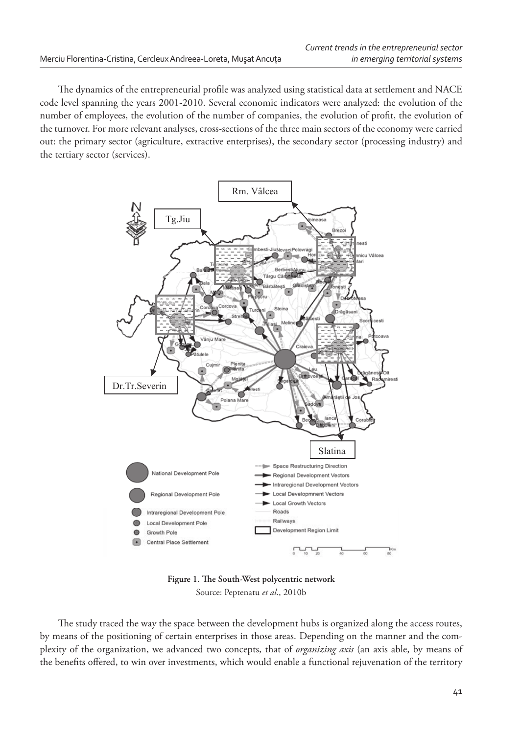The dynamics of the entrepreneurial profile was analyzed using statistical data at settlement and NACE code level spanning the years 2001-2010. Several economic indicators were analyzed: the evolution of the number of employees, the evolution of the number of companies, the evolution of profit, the evolution of the turnover. For more relevant analyses, cross-sections of the three main sectors of the economy were carried out: the primary sector (agriculture, extractive enterprises), the secondary sector (processing industry) and the tertiary sector (services).



Figure 1. The South-West polycentric network Source: Peptenatu *et al*., 2010b

The study traced the way the space between the development hubs is organized along the access routes, by means of the positioning of certain enterprises in those areas. Depending on the manner and the complexity of the organization, we advanced two concepts, that of *organizing axis* (an axis able, by means of the benefits offered, to win over investments, which would enable a functional rejuvenation of the territory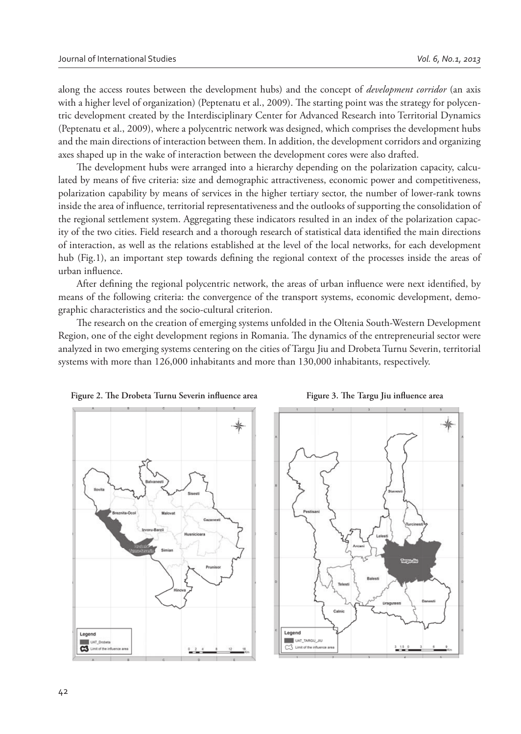along the access routes between the development hubs) and the concept of *development corridor* (an axis with a higher level of organization) (Peptenatu et al., 2009). The starting point was the strategy for polycentric development created by the Interdisciplinary Center for Advanced Research into Territorial Dynamics (Peptenatu et al., 2009), where a polycentric network was designed, which comprises the development hubs and the main directions of interaction between them. In addition, the development corridors and organizing axes shaped up in the wake of interaction between the development cores were also drafted.

The development hubs were arranged into a hierarchy depending on the polarization capacity, calculated by means of five criteria: size and demographic attractiveness, economic power and competitiveness, polarization capability by means of services in the higher tertiary sector, the number of lower-rank towns inside the area of influence, territorial representativeness and the outlooks of supporting the consolidation of the regional settlement system. Aggregating these indicators resulted in an index of the polarization capacity of the two cities. Field research and a thorough research of statistical data identified the main directions of interaction, as well as the relations established at the level of the local networks, for each development hub (Fig.1), an important step towards defining the regional context of the processes inside the areas of urban influence.

After defining the regional polycentric network, the areas of urban influence were next identified, by means of the following criteria: the convergence of the transport systems, economic development, demographic characteristics and the socio-cultural criterion.

The research on the creation of emerging systems unfolded in the Oltenia South-Western Development Region, one of the eight development regions in Romania. The dynamics of the entrepreneurial sector were analyzed in two emerging systems centering on the cities of Targu Jiu and Drobeta Turnu Severin, territorial systems with more than 126,000 inhabitants and more than 130,000 inhabitants, respectively.





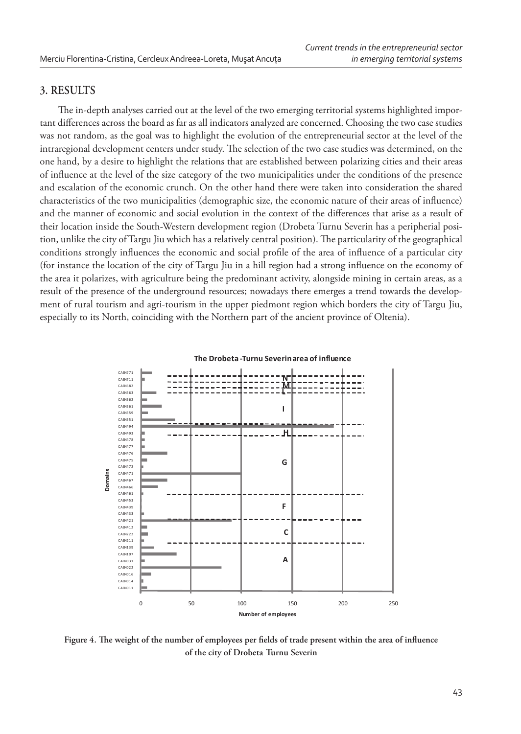# **3. RESULTS**

The in-depth analyses carried out at the level of the two emerging territorial systems highlighted important differences across the board as far as all indicators analyzed are concerned. Choosing the two case studies was not random, as the goal was to highlight the evolution of the entrepreneurial sector at the level of the intraregional development centers under study. The selection of the two case studies was determined, on the one hand, by a desire to highlight the relations that are established between polarizing cities and their areas of infl uence at the level of the size category of the two municipalities under the conditions of the presence and escalation of the economic crunch. On the other hand there were taken into consideration the shared characteristics of the two municipalities (demographic size, the economic nature of their areas of influence) and the manner of economic and social evolution in the context of the differences that arise as a result of their location inside the South-Western development region (Drobeta Turnu Severin has a peripherial position, unlike the city of Targu Jiu which has a relatively central position). The particularity of the geographical conditions strongly influences the economic and social profile of the area of influence of a particular city (for instance the location of the city of Targu Jiu in a hill region had a strong influence on the economy of the area it polarizes, with agriculture being the predominant activity, alongside mining in certain areas, as a result of the presence of the underground resources; nowadays there emerges a trend towards the development of rural tourism and agri-tourism in the upper piedmont region which borders the city of Targu Jiu, especially to its North, coinciding with the Northern part of the ancient province of Oltenia).



Figure 4. The weight of the number of employees per fields of trade present within the area of influence **of the city of Drobeta Turnu Severin**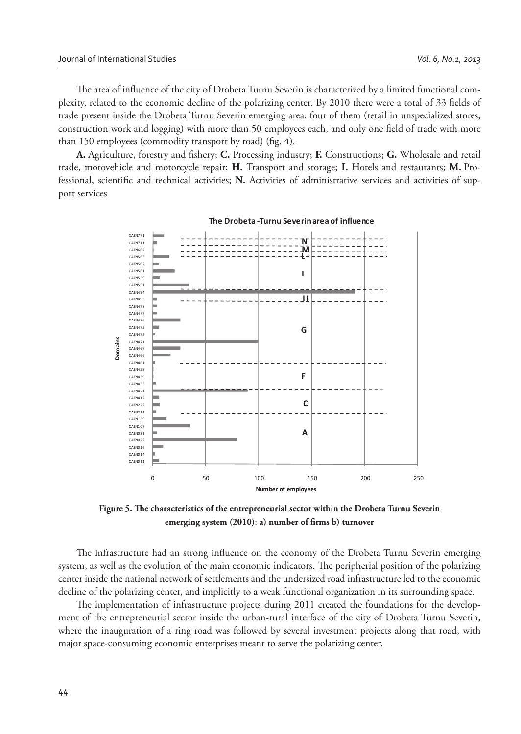The area of influence of the city of Drobeta Turnu Severin is characterized by a limited functional complexity, related to the economic decline of the polarizing center. By 2010 there were a total of 33 fields of trade present inside the Drobeta Turnu Severin emerging area, four of them (retail in unspecialized stores, construction work and logging) with more than 50 employees each, and only one field of trade with more than 150 employees (commodity transport by road) (fig. 4).

A. Agriculture, forestry and fishery; C. Processing industry; F. Constructions; G. Wholesale and retail trade, motovehicle and motorcycle repair; **H.** Transport and storage; **I.** Hotels and restaurants; **M.** Professional, scientific and technical activities; N. Activities of administrative services and activities of support services



**The Drobeta ͲTurnu Severinarea of influence**

Figure 5. The characteristics of the entrepreneurial sector within the Drobeta Turnu Severin emerging system (2010): a) number of firms b) turnover

The infrastructure had an strong influence on the economy of the Drobeta Turnu Severin emerging system, as well as the evolution of the main economic indicators. The peripherial position of the polarizing center inside the national network of settlements and the undersized road infrastructure led to the economic decline of the polarizing center, and implicitly to a weak functional organization in its surrounding space.

The implementation of infrastructure projects during 2011 created the foundations for the development of the entrepreneurial sector inside the urban-rural interface of the city of Drobeta Turnu Severin, where the inauguration of a ring road was followed by several investment projects along that road, with major space-consuming economic enterprises meant to serve the polarizing center.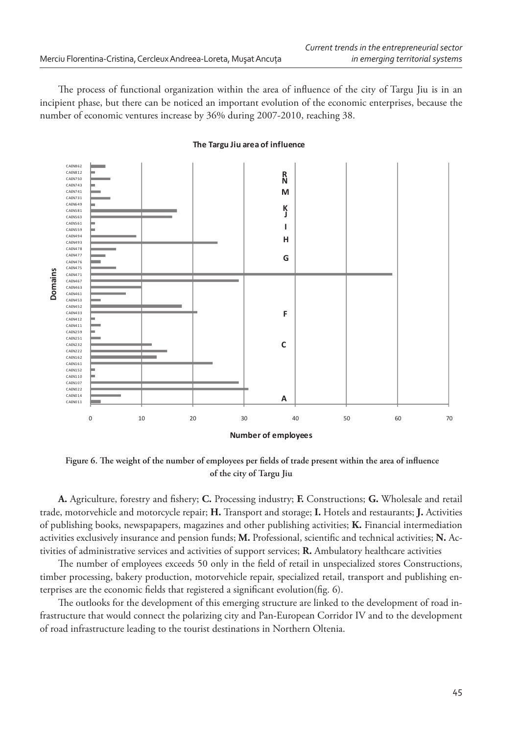The process of functional organization within the area of influence of the city of Targu Jiu is in an incipient phase, but there can be noticed an important evolution of the economic enterprises, because the number of economic ventures increase by 36% during 2007-2010, reaching 38.



#### **The Targu Jiu area of influence**

Figure 6. The weight of the number of employees per fields of trade present within the area of influence **of the city of Targu Jiu**

A. Agriculture, forestry and fishery; C. Processing industry; F. Constructions; G. Wholesale and retail trade, motorvehicle and motorcycle repair; **H.** Transport and storage; **I.** Hotels and restaurants; **J.** Activities of publishing books, newspapapers, magazines and other publishing activities; **K.** Financial intermediation activities exclusively insurance and pension funds; M. Professional, scientific and technical activities; N. Activities of administrative services and activities of support services; **R.** Ambulatory healthcare activities

The number of employees exceeds 50 only in the field of retail in unspecialized stores Constructions, timber processing, bakery production, motorvehicle repair, specialized retail, transport and publishing enterprises are the economic fields that registered a significant evolution(fig. 6).

The outlooks for the development of this emerging structure are linked to the development of road infrastructure that would connect the polarizing city and Pan-European Corridor IV and to the development of road infrastructure leading to the tourist destinations in Northern Oltenia.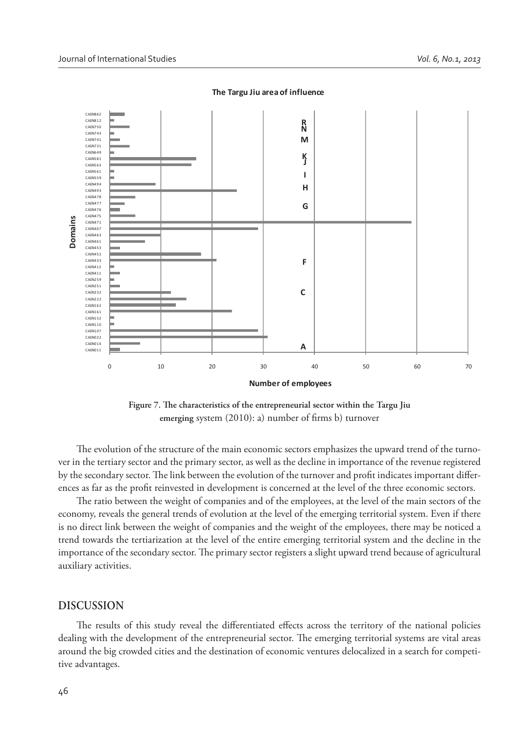

**The Targu Jiu area of influence**

Figure 7. The characteristics of the entrepreneurial sector within the Targu Jiu emerging system (2010): a) number of firms b) turnover

The evolution of the structure of the main economic sectors emphasizes the upward trend of the turnover in the tertiary sector and the primary sector, as well as the decline in importance of the revenue registered by the secondary sector. The link between the evolution of the turnover and profit indicates important differences as far as the profit reinvested in development is concerned at the level of the three economic sectors.

The ratio between the weight of companies and of the employees, at the level of the main sectors of the economy, reveals the general trends of evolution at the level of the emerging territorial system. Even if there is no direct link between the weight of companies and the weight of the employees, there may be noticed a trend towards the tertiarization at the level of the entire emerging territorial system and the decline in the importance of the secondary sector. The primary sector registers a slight upward trend because of agricultural auxiliary activities.

# **DISCUSSION**

The results of this study reveal the differentiated effects across the territory of the national policies dealing with the development of the entrepreneurial sector. The emerging territorial systems are vital areas around the big crowded cities and the destination of economic ventures delocalized in a search for competitive advantages.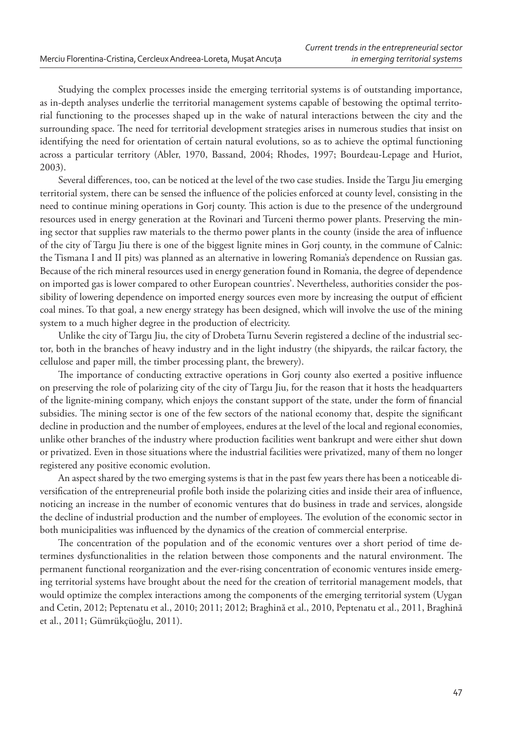Studying the complex processes inside the emerging territorial systems is of outstanding importance, as in-depth analyses underlie the territorial management systems capable of bestowing the optimal territorial functioning to the processes shaped up in the wake of natural interactions between the city and the surrounding space. The need for territorial development strategies arises in numerous studies that insist on identifying the need for orientation of certain natural evolutions, so as to achieve the optimal functioning across a particular territory (Abler, 1970, Bassand, 2004; Rhodes, 1997; Bourdeau-Lepage and Huriot, 2003).

Several differences, too, can be noticed at the level of the two case studies. Inside the Targu Jiu emerging territorial system, there can be sensed the influence of the policies enforced at county level, consisting in the need to continue mining operations in Gorj county. This action is due to the presence of the underground resources used in energy generation at the Rovinari and Turceni thermo power plants. Preserving the mining sector that supplies raw materials to the thermo power plants in the county (inside the area of influence of the city of Targu Jiu there is one of the biggest lignite mines in Gorj county, in the commune of Calnic: the Tismana I and II pits) was planned as an alternative in lowering Romania's dependence on Russian gas. Because of the rich mineral resources used in energy generation found in Romania, the degree of dependence on imported gas is lower compared to other European countries'. Nevertheless, authorities consider the possibility of lowering dependence on imported energy sources even more by increasing the output of efficient coal mines. To that goal, a new energy strategy has been designed, which will involve the use of the mining system to a much higher degree in the production of electricity.

Unlike the city of Targu Jiu, the city of Drobeta Turnu Severin registered a decline of the industrial sector, both in the branches of heavy industry and in the light industry (the shipyards, the railcar factory, the cellulose and paper mill, the timber processing plant, the brewery).

The importance of conducting extractive operations in Gorj county also exerted a positive influence on preserving the role of polarizing city of the city of Targu Jiu, for the reason that it hosts the headquarters of the lignite-mining company, which enjoys the constant support of the state, under the form of financial subsidies. The mining sector is one of the few sectors of the national economy that, despite the significant decline in production and the number of employees, endures at the level of the local and regional economies, unlike other branches of the industry where production facilities went bankrupt and were either shut down or privatized. Even in those situations where the industrial facilities were privatized, many of them no longer registered any positive economic evolution.

An aspect shared by the two emerging systems is that in the past few years there has been a noticeable diversification of the entrepreneurial profile both inside the polarizing cities and inside their area of influence, noticing an increase in the number of economic ventures that do business in trade and services, alongside the decline of industrial production and the number of employees. The evolution of the economic sector in both municipalities was influenced by the dynamics of the creation of commercial enterprise.

The concentration of the population and of the economic ventures over a short period of time determines dysfunctionalities in the relation between those components and the natural environment. The permanent functional reorganization and the ever-rising concentration of economic ventures inside emerging territorial systems have brought about the need for the creation of territorial management models, that would optimize the complex interactions among the components of the emerging territorial system (Uygan and Cetin, 2012; Peptenatu et al., 2010; 2011; 2012; Braghină et al., 2010, Peptenatu et al., 2011, Braghină et al., 2011; Gümrükçüoğlu, 2011).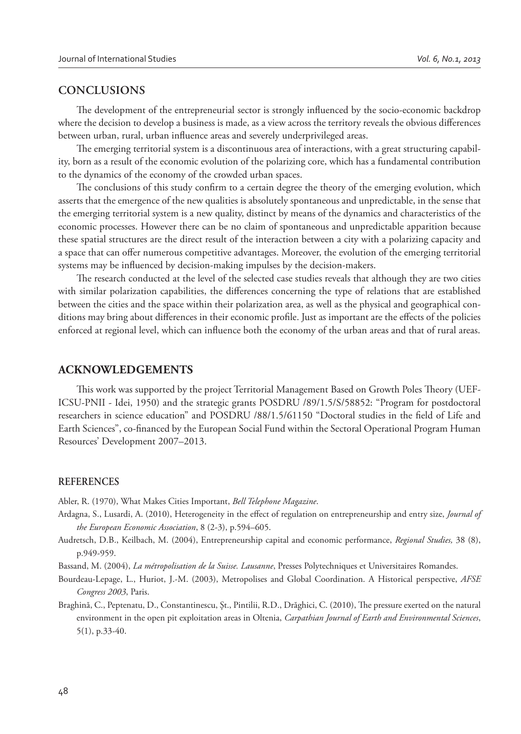# **CONCLUSIONS**

The development of the entrepreneurial sector is strongly influenced by the socio-economic backdrop where the decision to develop a business is made, as a view across the territory reveals the obvious differences between urban, rural, urban influence areas and severely underprivileged areas.

The emerging territorial system is a discontinuous area of interactions, with a great structuring capability, born as a result of the economic evolution of the polarizing core, which has a fundamental contribution to the dynamics of the economy of the crowded urban spaces.

The conclusions of this study confirm to a certain degree the theory of the emerging evolution, which asserts that the emergence of the new qualities is absolutely spontaneous and unpredictable, in the sense that the emerging territorial system is a new quality, distinct by means of the dynamics and characteristics of the economic processes. However there can be no claim of spontaneous and unpredictable apparition because these spatial structures are the direct result of the interaction between a city with a polarizing capacity and a space that can offer numerous competitive advantages. Moreover, the evolution of the emerging territorial systems may be influenced by decision-making impulses by the decision-makers.

The research conducted at the level of the selected case studies reveals that although they are two cities with similar polarization capabilities, the differences concerning the type of relations that are established between the cities and the space within their polarization area, as well as the physical and geographical conditions may bring about differences in their economic profile. Just as important are the effects of the policies enforced at regional level, which can influence both the economy of the urban areas and that of rural areas.

# **ACKNOWLEDGEMENTS**

This work was supported by the project Territorial Management Based on Growth Poles Theory (UEF-ICSU-PNII - Idei, 1950) and the strategic grants POSDRU /89/1.5/S/58852: "Program for postdoctoral researchers in science education" and POSDRU /88/1.5/61150 "Doctoral studies in the field of Life and Earth Sciences", co-financed by the European Social Fund within the Sectoral Operational Program Human Resources' Development 2007–2013.

#### **REFERENCES**

Abler, R. (1970), What Makes Cities Important, *Bell Telephone Magazine*.

- Ardagna, S., Lusardi, A. (2010), Heterogeneity in the effect of regulation on entrepreneurship and entry size, *Journal of the European Economic Association*, 8 (2-3), p.594–605.
- Audretsch, D.B., Keilbach, M. (2004), Entrepreneurship capital and economic performance, *Regional Studies,* 38 (8), p.949-959.

Bassand, M. (2004), *La métropolisation de la Suisse. Lausanne*, Presses Polytechniques et Universitaires Romandes.

Bourdeau-Lepage, L., Huriot, J.-M. (2003), Metropolises and Global Coordination. A Historical perspective, *AFSE Congress 2003*, Paris.

Braghină, C., Peptenatu, D., Constantinescu, Șt., Pintilii, R.D., Drăghici, C. (2010), The pressure exerted on the natural environment in the open pit exploitation areas in Oltenia, *Carpathian Journal of Earth and Environmental Sciences*, 5(1), p.33-40.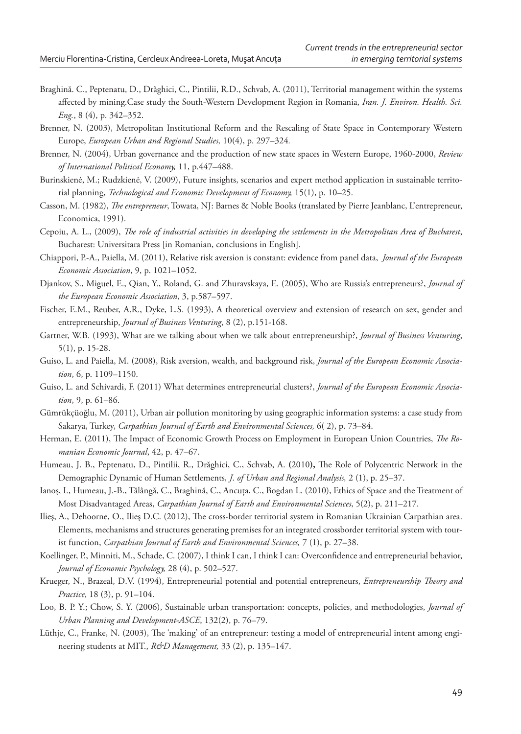- Braghină. C., Peptenatu, D., Drăghici, C., Pintilii, R.D., Schvab, A. (2011), Territorial management within the systems affected by mining.Case study the South-Western Development Region in Romania, *Iran. J. Environ. Health. Sci. Eng.*, 8 (4), p. 342–352.
- Brenner, N. (2003), Metropolitan Institutional Reform and the Rescaling of State Space in Contemporary Western Europe, *European Urban and Regional Studies,* 10(4), p. 297–324*.*
- Brenner, N. (2004), Urban governance and the production of new state spaces in Western Europe, 1960-2000, *Review of International Political Economy,* 11, p.447–488.
- Burinskienė, M.; Rudzkienė, V. (2009), Future insights, scenarios and expert method application in sustainable territorial planning, *Technological and Economic Development of Economy,* 15(1), p. 10–25.
- Casson, M. (1982), *The entrepreneur*, Towata, NJ: Barnes & Noble Books (translated by Pierre Jeanblanc, L'entrepreneur, Economica, 1991).
- Cepoiu, A. L., (2009), *The role of industrial activities in developing the settlements in the Metropolitan Area of Bucharest*, Bucharest: Universitara Press [in Romanian, conclusions in English].
- Chiappori, P.-A., Paiella, M. (2011), Relative risk aversion is constant: evidence from panel data, *Journal of the European Economic Association*, 9, p. 1021–1052.
- Djankov, S., Miguel, E., Qian, Y., Roland, G. and Zhuravskaya, E. (2005), Who are Russia's entrepreneurs?, *Journal of the European Economic Association*, 3, p.587–597.
- Fischer, E.M., Reuber, A.R., Dyke, L.S. (1993), A theoretical overview and extension of research on sex, gender and entrepreneurship, *Journal of Business Venturing*, 8 (2), p.151-168.
- Gartner, W.B. (1993), What are we talking about when we talk about entrepreneurship?, *Journal of Business Venturing*, 5(1), p. 15-28.
- Guiso, L. and Paiella, M. (2008), Risk aversion, wealth, and background risk, *Journal of the European Economic Association*, 6, p. 1109–1150.
- Guiso, L. and Schivardi, F. (2011) What determines entrepreneurial clusters?, *Journal of the European Economic Association*, 9, p. 61–86.
- Gümrükçüoğlu, M. (2011), Urban air pollution monitoring by using geographic information systems: a case study from Sakarya, Turkey, *Carpathian Journal of Earth and Environmental Sciences,* 6( 2), p. 73–84.
- Herman, E. (2011), The Impact of Economic Growth Process on Employment in European Union Countries, *The Romanian Economic Journal*, 42, p. 47–67.
- Humeau, J. B., Peptenatu, D., Pintilii, R., Drăghici, C., Schvab, A. (2010), The Role of Polycentric Network in the Demographic Dynamic of Human Settlements*, J. of Urban and Regional Analysis,* 2 (1), p. 25–37.
- Ianoş, I., Humeau, J.-B., Tălângă, C., Braghină, C., Ancuţa, C., Bogdan L. (2010), Ethics of Space and the Treatment of Most Disadvantaged Areas, *Carpathian Journal of Earth and Environmental Sciences*, 5(2), p. 211–217.
- Ilies, A., Dehoorne, O., Ilies D.C. (2012), The cross-border territorial system in Romanian Ukrainian Carpathian area. Elements, mechanisms and structures generating premises for an integrated crossborder territorial system with tourist function, *Carpathian Journal of Earth and Environmental Sciences,* 7 (1), p. 27–38.
- Koellinger, P., Minniti, M., Schade, C. (2007), I think I can, I think I can: Overconfidence and entrepreneurial behavior, *Journal of Economic Psychology,* 28 (4), p. 502–527.
- Krueger, N., Brazeal, D.V. (1994), Entrepreneurial potential and potential entrepreneurs, *Entrepreneurship Theory and Practice*, 18 (3), p. 91–104.
- Loo, B. P. Y.; Chow, S. Y. (2006), Sustainable urban transportation: concepts, policies, and methodologies, *Journal of Urban Planning and Development-ASCE*, 132(2), p. 76–79.
- Lüthje, C., Franke, N. (2003), The 'making' of an entrepreneur: testing a model of entrepreneurial intent among engineering students at MIT., *R&D Management,* 33 (2), p. 135–147.